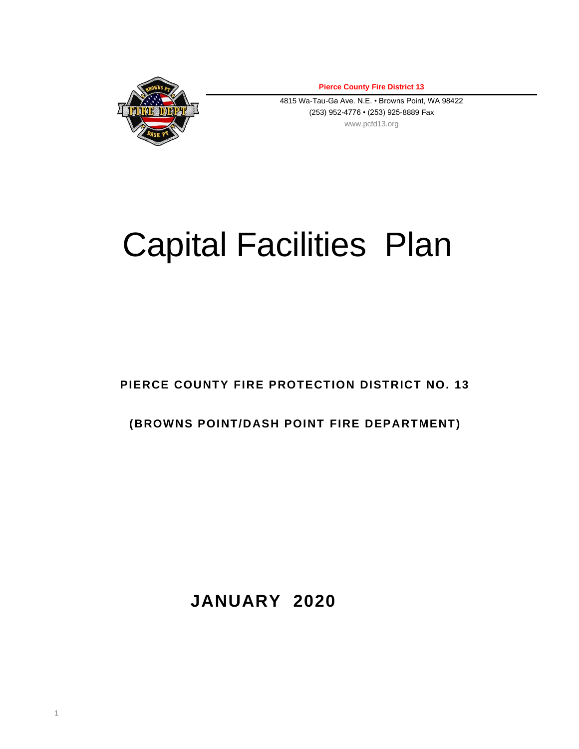

1

**Pierce County Fire District 13**

4815 Wa-Tau-Ga Ave. N.E. • Browns Point, WA 98422 (253) 952-4776 • (253) 925-8889 Fax www.pcfd13.org

# Capital Facilities Plan

**PIERCE COUNTY FIRE PROTECTION DISTRICT NO. 13**

# **(BROWNS POINT/DASH POINT FIRE DEPARTMENT)**

**JANUARY 2020**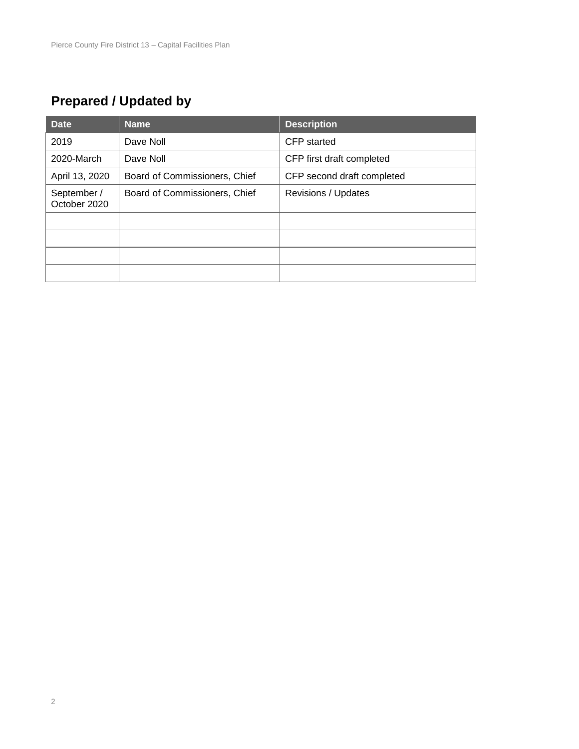# **Prepared / Updated by**

| <b>Date</b>                 | <b>Name</b>                   | <b>Description</b>         |
|-----------------------------|-------------------------------|----------------------------|
| 2019                        | Dave Noll                     | CFP started                |
| 2020-March                  | Dave Noll                     | CFP first draft completed  |
| April 13, 2020              | Board of Commissioners, Chief | CFP second draft completed |
| September /<br>October 2020 | Board of Commissioners, Chief | Revisions / Updates        |
|                             |                               |                            |
|                             |                               |                            |
|                             |                               |                            |
|                             |                               |                            |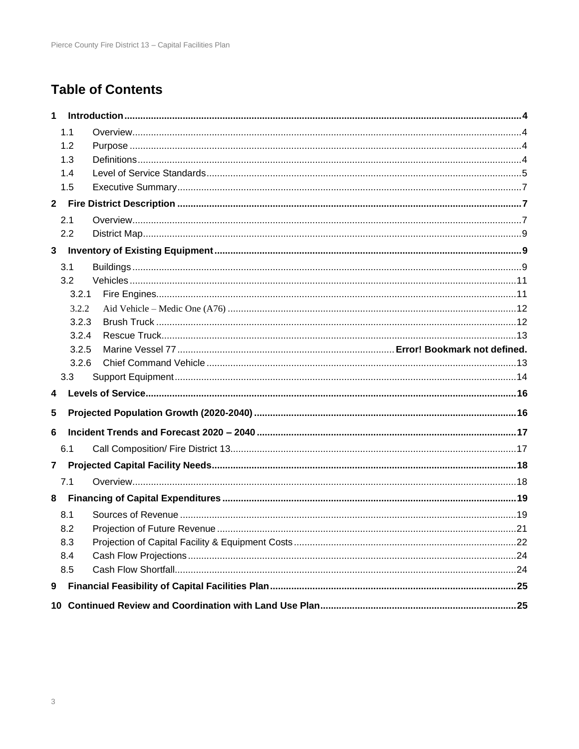# **Table of Contents**

| 1            |       |  |
|--------------|-------|--|
|              | 1.1   |  |
|              | 1.2   |  |
|              | 1.3   |  |
|              | 1.4   |  |
|              | 1.5   |  |
| $\mathbf{2}$ |       |  |
|              | 2.1   |  |
|              | 2.2   |  |
| 3            |       |  |
|              | 3.1   |  |
|              | 3.2   |  |
|              | 3.2.1 |  |
|              | 3.2.2 |  |
|              | 3.2.3 |  |
|              | 3.2.4 |  |
|              | 3.2.5 |  |
|              | 3.2.6 |  |
|              | 3.3   |  |
| 4            |       |  |
| 5            |       |  |
| 6            |       |  |
|              | 6.1   |  |
| $\mathbf{7}$ |       |  |
|              | 7.1   |  |
| 8            |       |  |
|              | 8.1   |  |
|              | 8.2   |  |
|              | 8.3   |  |
|              | 8.4   |  |
|              | 8.5   |  |
| 9            |       |  |
| 10           |       |  |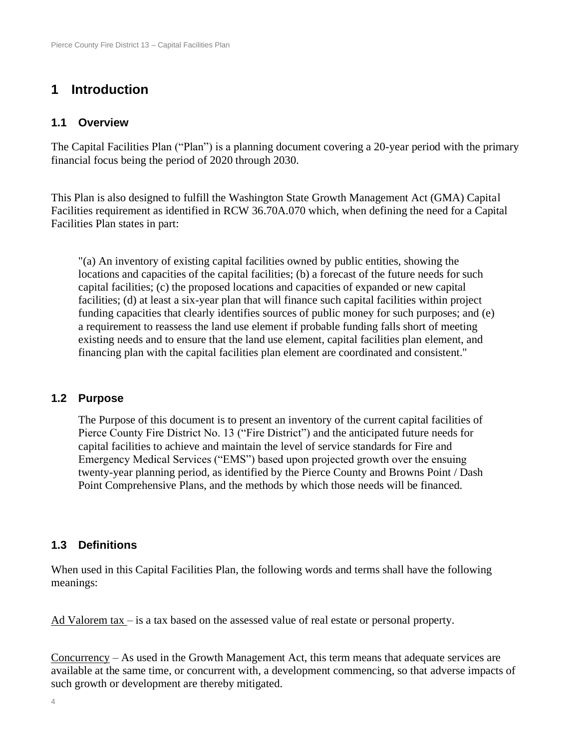# **1 Introduction**

#### **1.1 Overview**

The Capital Facilities Plan ("Plan") is a planning document covering a 20-year period with the primary financial focus being the period of 2020 through 2030.

This Plan is also designed to fulfill the Washington State Growth Management Act (GMA) Capital Facilities requirement as identified in RCW 36.70A.070 which, when defining the need for a Capital Facilities Plan states in part:

"(a) An inventory of existing capital facilities owned by public entities, showing the locations and capacities of the capital facilities; (b) a forecast of the future needs for such capital facilities; (c) the proposed locations and capacities of expanded or new capital facilities; (d) at least a six-year plan that will finance such capital facilities within project funding capacities that clearly identifies sources of public money for such purposes; and (e) a requirement to reassess the land use element if probable funding falls short of meeting existing needs and to ensure that the land use element, capital facilities plan element, and financing plan with the capital facilities plan element are coordinated and consistent."

#### **1.2 Purpose**

The Purpose of this document is to present an inventory of the current capital facilities of Pierce County Fire District No. 13 ("Fire District") and the anticipated future needs for capital facilities to achieve and maintain the level of service standards for Fire and Emergency Medical Services ("EMS") based upon projected growth over the ensuing twenty-year planning period, as identified by the Pierce County and Browns Point / Dash Point Comprehensive Plans, and the methods by which those needs will be financed.

#### **1.3 Definitions**

When used in this Capital Facilities Plan, the following words and terms shall have the following meanings:

Ad Valorem tax – is a tax based on the assessed value of real estate or personal property.

Concurrency – As used in the Growth Management Act, this term means that adequate services are available at the same time, or concurrent with, a development commencing, so that adverse impacts of such growth or development are thereby mitigated.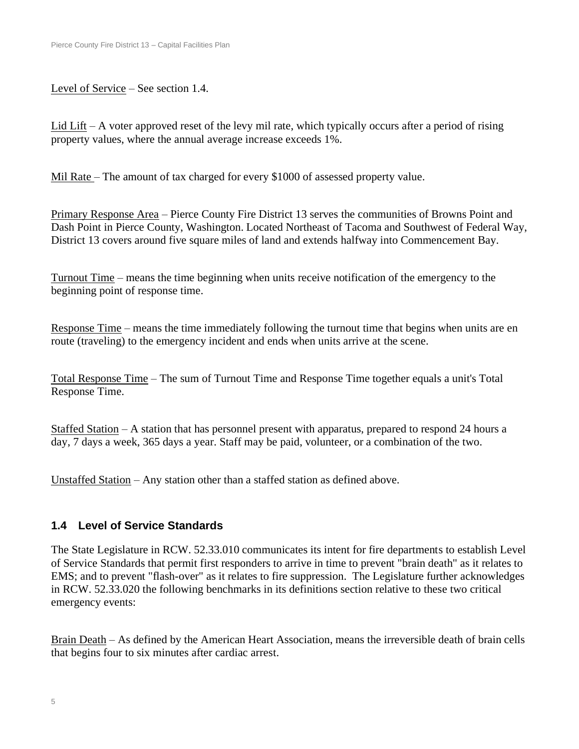Level of Service – See section 1.4.

Lid Lift – A voter approved reset of the levy mil rate, which typically occurs after a period of rising property values, where the annual average increase exceeds 1%.

Mil Rate – The amount of tax charged for every \$1000 of assessed property value.

Primary Response Area – Pierce County Fire District 13 serves the communities of Browns Point and Dash Point in Pierce County, Washington. Located Northeast of Tacoma and Southwest of Federal Way, District 13 covers around five square miles of land and extends halfway into Commencement Bay.

Turnout Time – means the time beginning when units receive notification of the emergency to the beginning point of response time.

Response Time – means the time immediately following the turnout time that begins when units are en route (traveling) to the emergency incident and ends when units arrive at the scene.

Total Response Time – The sum of Turnout Time and Response Time together equals a unit's Total Response Time.

Staffed Station – A station that has personnel present with apparatus, prepared to respond 24 hours a day, 7 days a week, 365 days a year. Staff may be paid, volunteer, or a combination of the two.

Unstaffed Station – Any station other than a staffed station as defined above.

#### **1.4 Level of Service Standards**

The State Legislature in RCW. 52.33.010 communicates its intent for fire departments to establish Level of Service Standards that permit first responders to arrive in time to prevent "brain death" as it relates to EMS; and to prevent "flash-over" as it relates to fire suppression. The Legislature further acknowledges in RCW. 52.33.020 the following benchmarks in its definitions section relative to these two critical emergency events:

Brain Death – As defined by the American Heart Association, means the irreversible death of brain cells that begins four to six minutes after cardiac arrest.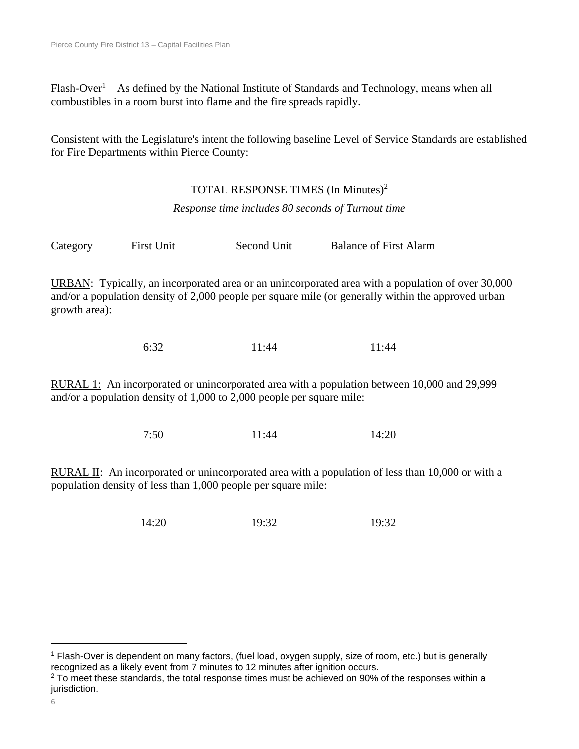$Flash-Over<sup>1</sup> - As defined by the National Institute of Standards and Technology, means when all$ combustibles in a room burst into flame and the fire spreads rapidly.

Consistent with the Legislature's intent the following baseline Level of Service Standards are established for Fire Departments within Pierce County:

#### TOTAL RESPONSE TIMES (In Minutes)<sup>2</sup>

*Response time includes 80 seconds of Turnout time*

Category First Unit Second Unit Balance of First Alarm

URBAN: Typically, an incorporated area or an unincorporated area with a population of over 30,000 and/or a population density of 2,000 people per square mile (or generally within the approved urban growth area):

6:32 11:44 11:44

RURAL 1: An incorporated or unincorporated area with a population between 10,000 and 29,999 and/or a population density of 1,000 to 2,000 people per square mile:

7:50 11:44 14:20

RURAL II: An incorporated or unincorporated area with a population of less than 10,000 or with a population density of less than 1,000 people per square mile:

14:20 19:32 19:32

<sup>1</sup> Flash-Over is dependent on many factors, (fuel load, oxygen supply, size of room, etc.) but is generally recognized as a likely event from 7 minutes to 12 minutes after ignition occurs.

 $2$  To meet these standards, the total response times must be achieved on 90% of the responses within a jurisdiction.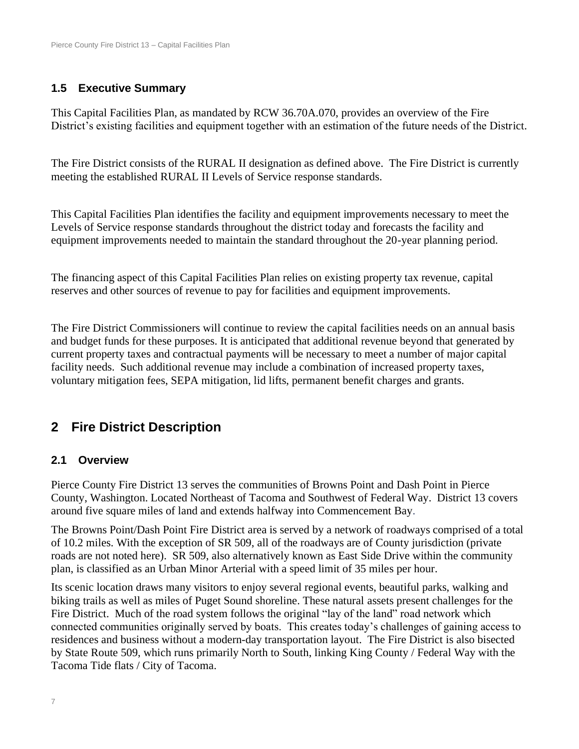### **1.5 Executive Summary**

This Capital Facilities Plan, as mandated by RCW 36.70A.070, provides an overview of the Fire District's existing facilities and equipment together with an estimation of the future needs of the District.

The Fire District consists of the RURAL II designation as defined above. The Fire District is currently meeting the established RURAL II Levels of Service response standards.

This Capital Facilities Plan identifies the facility and equipment improvements necessary to meet the Levels of Service response standards throughout the district today and forecasts the facility and equipment improvements needed to maintain the standard throughout the 20-year planning period.

The financing aspect of this Capital Facilities Plan relies on existing property tax revenue, capital reserves and other sources of revenue to pay for facilities and equipment improvements.

The Fire District Commissioners will continue to review the capital facilities needs on an annual basis and budget funds for these purposes. It is anticipated that additional revenue beyond that generated by current property taxes and contractual payments will be necessary to meet a number of major capital facility needs. Such additional revenue may include a combination of increased property taxes, voluntary mitigation fees, SEPA mitigation, lid lifts, permanent benefit charges and grants.

# **2 Fire District Description**

#### **2.1 Overview**

Pierce County Fire District 13 serves the communities of Browns Point and Dash Point in Pierce County, Washington. Located Northeast of Tacoma and Southwest of Federal Way. District 13 covers around five square miles of land and extends halfway into Commencement Bay.

The Browns Point/Dash Point Fire District area is served by a network of roadways comprised of a total of 10.2 miles. With the exception of SR 509, all of the roadways are of County jurisdiction (private roads are not noted here). SR 509, also alternatively known as East Side Drive within the community plan, is classified as an Urban Minor Arterial with a speed limit of 35 miles per hour.

Its scenic location draws many visitors to enjoy several regional events, beautiful parks, walking and biking trails as well as miles of Puget Sound shoreline. These natural assets present challenges for the Fire District. Much of the road system follows the original "lay of the land" road network which connected communities originally served by boats. This creates today's challenges of gaining access to residences and business without a modern-day transportation layout. The Fire District is also bisected by State Route 509, which runs primarily North to South, linking King County / Federal Way with the Tacoma Tide flats / City of Tacoma.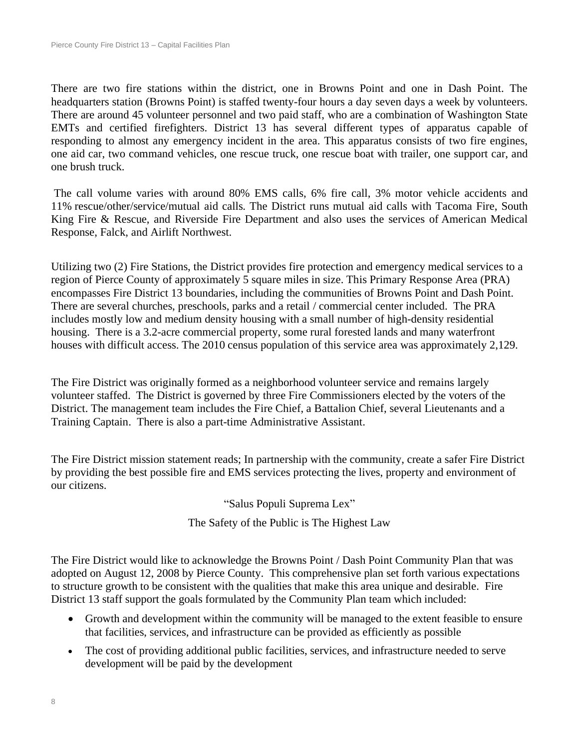There are two fire stations within the district, one in Browns Point and one in Dash Point. The headquarters station (Browns Point) is staffed twenty-four hours a day seven days a week by volunteers. There are around 45 volunteer personnel and two paid staff, who are a combination of Washington State EMTs and certified firefighters. District 13 has several different types of apparatus capable of responding to almost any emergency incident in the area. This apparatus consists of two fire engines, one aid car, two command vehicles, one rescue truck, one rescue boat with trailer, one support car, and one brush truck.

The call volume varies with around 80% EMS calls, 6% fire call, 3% motor vehicle accidents and 11% rescue/other/service/mutual aid calls. The District runs mutual aid calls with Tacoma Fire, South King Fire & Rescue, and Riverside Fire Department and also uses the services of American Medical Response, Falck, and Airlift Northwest.

Utilizing two (2) Fire Stations, the District provides fire protection and emergency medical services to a region of Pierce County of approximately 5 square miles in size. This Primary Response Area (PRA) encompasses Fire District 13 boundaries, including the communities of Browns Point and Dash Point. There are several churches, preschools, parks and a retail / commercial center included. The PRA includes mostly low and medium density housing with a small number of high-density residential housing. There is a 3.2-acre commercial property, some rural forested lands and many waterfront houses with difficult access. The 2010 census population of this service area was approximately 2,129.

The Fire District was originally formed as a neighborhood volunteer service and remains largely volunteer staffed. The District is governed by three Fire Commissioners elected by the voters of the District. The management team includes the Fire Chief, a Battalion Chief, several Lieutenants and a Training Captain. There is also a part-time Administrative Assistant.

The Fire District mission statement reads; In partnership with the community, create a safer Fire District by providing the best possible fire and EMS services protecting the lives, property and environment of our citizens.

"Salus Populi Suprema Lex"

The Safety of the Public is The Highest Law

The Fire District would like to acknowledge the Browns Point / Dash Point Community Plan that was adopted on August 12, 2008 by Pierce County. This comprehensive plan set forth various expectations to structure growth to be consistent with the qualities that make this area unique and desirable. Fire District 13 staff support the goals formulated by the Community Plan team which included:

- Growth and development within the community will be managed to the extent feasible to ensure that facilities, services, and infrastructure can be provided as efficiently as possible
- The cost of providing additional public facilities, services, and infrastructure needed to serve development will be paid by the development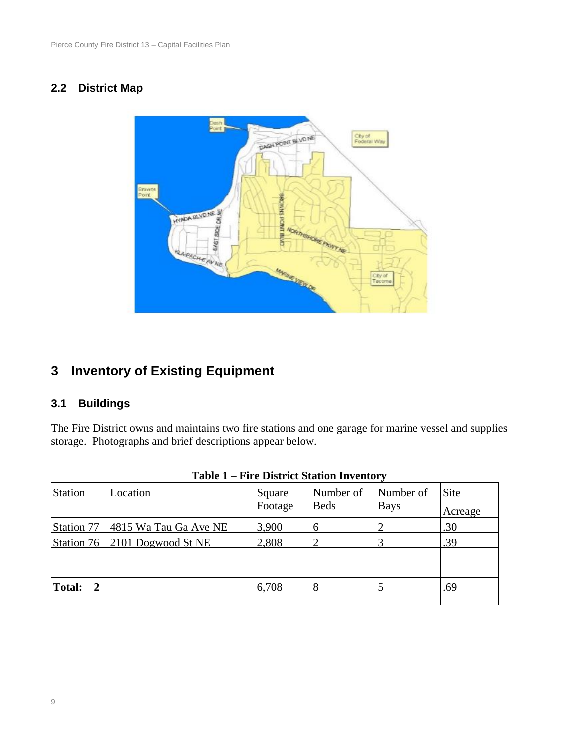#### **2.2 District Map**



# **3 Inventory of Existing Equipment**

#### **3.1 Buildings**

The Fire District owns and maintains two fire stations and one garage for marine vessel and supplies storage. Photographs and brief descriptions appear below.

| Station                       | Location                      | Square<br>Footage | Number of<br><b>Beds</b> | Number of<br><b>Bays</b> | <b>Site</b><br>Acreage |
|-------------------------------|-------------------------------|-------------------|--------------------------|--------------------------|------------------------|
| Station 77                    | 4815 Wa Tau Ga Ave NE         | 3,900             | $\mathbf b$              |                          | .30                    |
|                               | Station 76 2101 Dogwood St NE | 2,808             |                          |                          | .39                    |
|                               |                               |                   |                          |                          |                        |
|                               |                               |                   |                          |                          |                        |
| <b>Total:</b><br><sup>2</sup> |                               | 6,708             | 8                        |                          | .69                    |

#### **Table 1 – Fire District Station Inventory**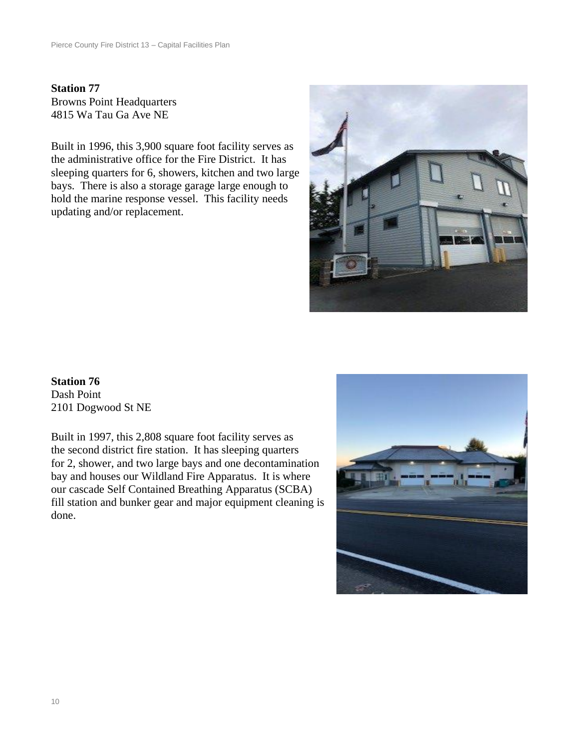**Station 77** Browns Point Headquarters 4815 Wa Tau Ga Ave NE

Built in 1996, this 3,900 square foot facility serves as the administrative office for the Fire District. It has sleeping quarters for 6, showers, kitchen and two large bays. There is also a storage garage large enough to hold the marine response vessel. This facility needs updating and/or replacement.



**Station 76** Dash Point 2101 Dogwood St NE

Built in 1997, this 2,808 square foot facility serves as the second district fire station. It has sleeping quarters for 2, shower, and two large bays and one decontamination bay and houses our Wildland Fire Apparatus. It is where our cascade Self Contained Breathing Apparatus (SCBA) fill station and bunker gear and major equipment cleaning is done.

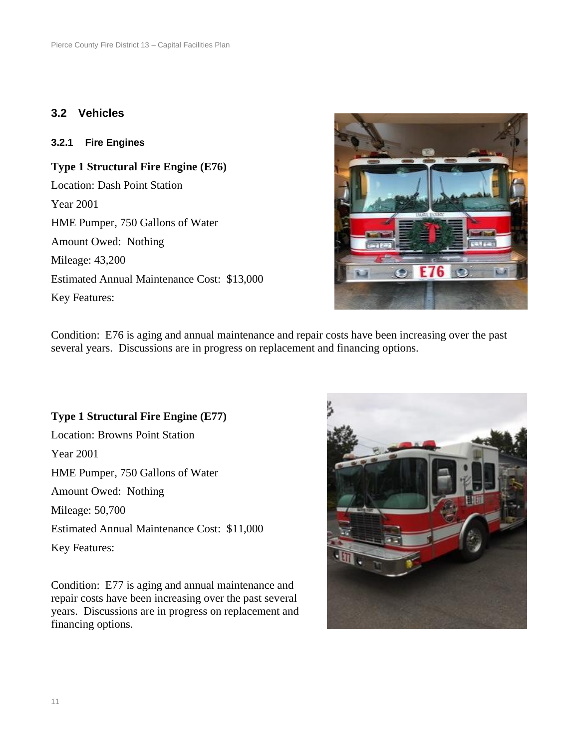#### **3.2 Vehicles**

#### **3.2.1 Fire Engines**

**Type 1 Structural Fire Engine (E76)** Location: Dash Point Station Year 2001 HME Pumper, 750 Gallons of Water Amount Owed: Nothing Mileage: 43,200 Estimated Annual Maintenance Cost: \$13,000 Key Features:



Condition: E76 is aging and annual maintenance and repair costs have been increasing over the past several years. Discussions are in progress on replacement and financing options.

#### **Type 1 Structural Fire Engine (E77)**

Location: Browns Point Station Year 2001 HME Pumper, 750 Gallons of Water Amount Owed: Nothing Mileage: 50,700 Estimated Annual Maintenance Cost: \$11,000 Key Features:

Condition: E77 is aging and annual maintenance and repair costs have been increasing over the past several years. Discussions are in progress on replacement and financing options.

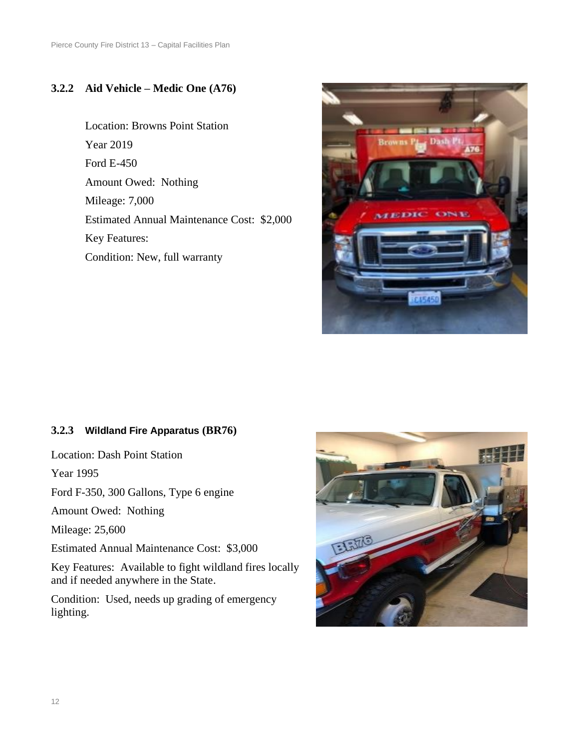#### **3.2.2 Aid Vehicle – Medic One (A76)**

Location: Browns Point Station Year 2019 Ford E-450 Amount Owed: Nothing Mileage: 7,000 Estimated Annual Maintenance Cost: \$2,000 Key Features: Condition: New, full warranty



#### **3.2.3 Wildland Fire Apparatus (BR76)**

Location: Dash Point Station

Year 1995

Ford F-350, 300 Gallons, Type 6 engine

Amount Owed: Nothing

Mileage: 25,600

Estimated Annual Maintenance Cost: \$3,000

Key Features: Available to fight wildland fires locally and if needed anywhere in the State.

Condition: Used, needs up grading of emergency lighting.

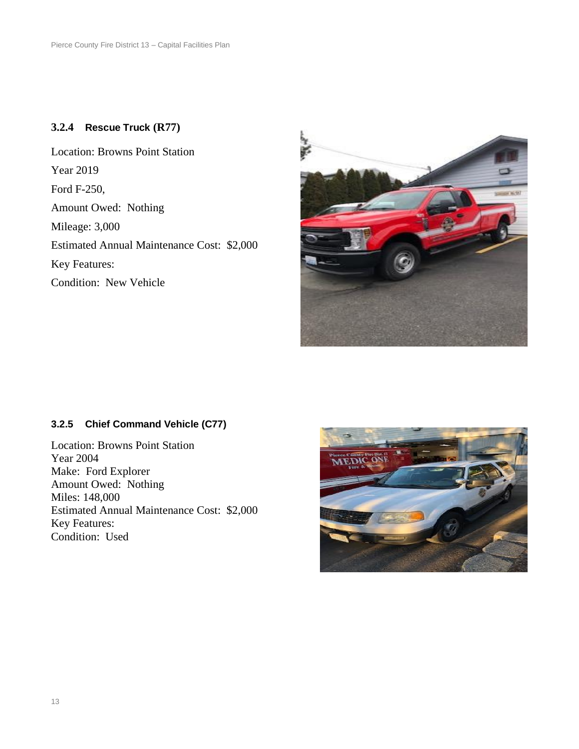#### **3.2.4 Rescue Truck (R77)**

Location: Browns Point Station Year 2019 Ford F-250, Amount Owed: Nothing Mileage: 3,000 Estimated Annual Maintenance Cost: \$2,000 Key Features: Condition: New Vehicle



#### **3.2.5 Chief Command Vehicle (C77)**

Location: Browns Point Station Year 2004 Make: Ford Explorer Amount Owed: Nothing Miles: 148,000 Estimated Annual Maintenance Cost: \$2,000 Key Features: Condition: Used

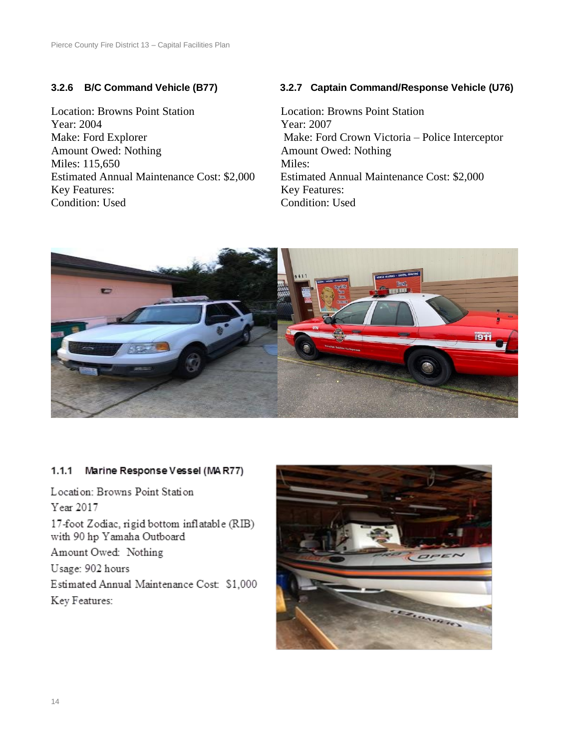Location: Browns Point Station Location: Browns Point Station Year: 2004 Year: 2007 Amount Owed: Nothing **Amount Owed: Nothing Amount Owed: Nothing** Miles: 115.650 Miles: Estimated Annual Maintenance Cost: \$2,000 Estimated Annual Maintenance Cost: \$2,000 Key Features: Key Features: Condition: Used Condition: Used

#### **3.2.6 B/C Command Vehicle (B77) 3.2.7 Captain Command/Response Vehicle (U76)**

Make: Ford Explorer Make: Ford Crown Victoria – Police Interceptor



#### $1.1.1$ Marine Response Vessel (MAR77)

Location: Browns Point Station Year 2017 17-foot Zodiac, rigid bottom inflatable (RIB) with 90 hp Yamaha Outboard Amount Owed: Nothing Usage: 902 hours Estimated Annual Maintenance Cost: \$1,000 Key Features:

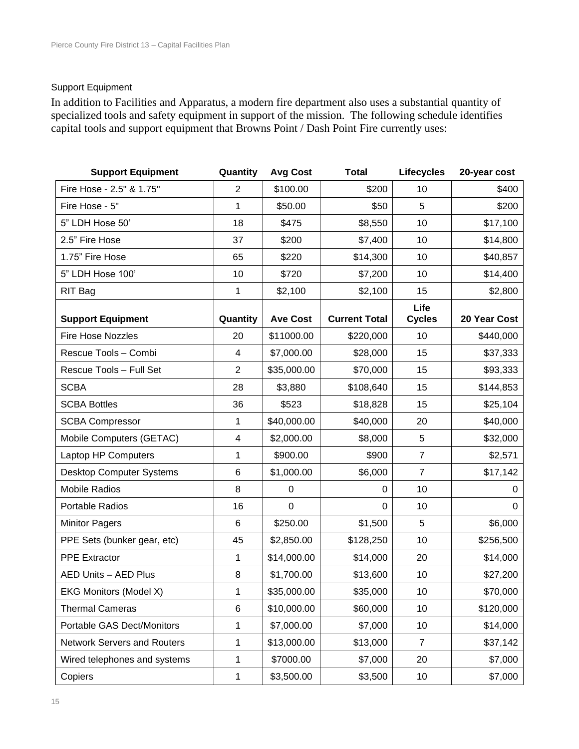#### Support Equipment

In addition to Facilities and Apparatus, a modern fire department also uses a substantial quantity of specialized tools and safety equipment in support of the mission. The following schedule identifies capital tools and support equipment that Browns Point / Dash Point Fire currently uses:

| <b>Support Equipment</b>           | Quantity       | <b>Avg Cost</b> | <b>Total</b>         | <b>Lifecycles</b>     | 20-year cost |
|------------------------------------|----------------|-----------------|----------------------|-----------------------|--------------|
| Fire Hose - 2.5" & 1.75"           | $\overline{2}$ | \$100.00        | \$200                | 10                    | \$400        |
| Fire Hose - 5"                     | 1              | \$50.00         | \$50                 | 5                     | \$200        |
| 5" LDH Hose 50'                    | 18             | \$475           | \$8,550              | 10                    | \$17,100     |
| 2.5" Fire Hose                     | 37             | \$200           | \$7,400              | 10                    | \$14,800     |
| 1.75" Fire Hose                    | 65             | \$220           | \$14,300             | 10                    | \$40,857     |
| 5" LDH Hose 100'                   | 10             | \$720           | \$7,200              | 10                    | \$14,400     |
| RIT Bag                            | 1              | \$2,100         | \$2,100              | 15                    | \$2,800      |
| <b>Support Equipment</b>           | Quantity       | <b>Ave Cost</b> | <b>Current Total</b> | Life<br><b>Cycles</b> | 20 Year Cost |
| <b>Fire Hose Nozzles</b>           | 20             | \$11000.00      | \$220,000            | 10                    | \$440,000    |
| Rescue Tools - Combi               | 4              | \$7,000.00      | \$28,000             | 15                    | \$37,333     |
| Rescue Tools - Full Set            | $\overline{2}$ | \$35,000.00     | \$70,000             | 15                    | \$93,333     |
| <b>SCBA</b>                        | 28             | \$3,880         | \$108,640            | 15                    | \$144,853    |
| <b>SCBA Bottles</b>                | 36             | \$523           | \$18,828             | 15                    | \$25,104     |
| <b>SCBA Compressor</b>             | 1              | \$40,000.00     | \$40,000             | 20                    | \$40,000     |
| Mobile Computers (GETAC)           | 4              | \$2,000.00      | \$8,000              | 5                     | \$32,000     |
| Laptop HP Computers                | 1              | \$900.00        | \$900                | $\overline{7}$        | \$2,571      |
| <b>Desktop Computer Systems</b>    | 6              | \$1,000.00      | \$6,000              | $\overline{7}$        | \$17,142     |
| <b>Mobile Radios</b>               | 8              | $\mathbf 0$     | 0                    | 10                    | 0            |
| Portable Radios                    | 16             | $\mathbf 0$     | 0                    | 10                    | $\mathbf 0$  |
| <b>Minitor Pagers</b>              | 6              | \$250.00        | \$1,500              | 5                     | \$6,000      |
| PPE Sets (bunker gear, etc)        | 45             | \$2,850.00      | \$128,250            | 10                    | \$256,500    |
| <b>PPE Extractor</b>               | 1              | \$14,000.00     | \$14,000             | 20                    | \$14,000     |
| <b>AED Units - AED Plus</b>        | 8              | \$1,700.00      | \$13,600             | 10                    | \$27,200     |
| EKG Monitors (Model X)             | 1              | \$35,000.00     | \$35,000             | 10                    | \$70,000     |
| <b>Thermal Cameras</b>             | 6              | \$10,000.00     | \$60,000             | 10                    | \$120,000    |
| Portable GAS Dect/Monitors         | 1              | \$7,000.00      | \$7,000              | 10                    | \$14,000     |
| <b>Network Servers and Routers</b> | 1              | \$13,000.00     | \$13,000             | $\overline{7}$        | \$37,142     |
| Wired telephones and systems       | 1              | \$7000.00       | \$7,000              | 20                    | \$7,000      |
| Copiers                            | 1              | \$3,500.00      | \$3,500              | 10                    | \$7,000      |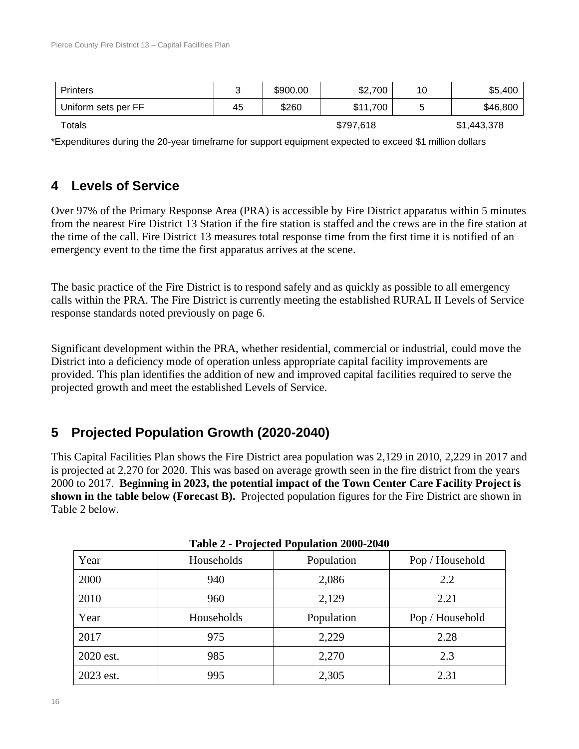| Printers            |    | \$900.00 | \$2,700   | 10     | \$5,400     |
|---------------------|----|----------|-----------|--------|-------------|
| Uniform sets per FF | 45 | \$260    | \$11,700  | ∽<br>ັ | \$46,800    |
| Totals              |    |          | \$797,618 |        | \$1,443,378 |

\*Expenditures during the 20-year timeframe for support equipment expected to exceed \$1 million dollars

# **4 Levels of Service**

Over 97% of the Primary Response Area (PRA) is accessible by Fire District apparatus within 5 minutes from the nearest Fire District 13 Station if the fire station is staffed and the crews are in the fire station at the time of the call. Fire District 13 measures total response time from the first time it is notified of an emergency event to the time the first apparatus arrives at the scene.

The basic practice of the Fire District is to respond safely and as quickly as possible to all emergency calls within the PRA. The Fire District is currently meeting the established RURAL II Levels of Service response standards noted previously on page 6.

Significant development within the PRA, whether residential, commercial or industrial, could move the District into a deficiency mode of operation unless appropriate capital facility improvements are provided. This plan identifies the addition of new and improved capital facilities required to serve the projected growth and meet the established Levels of Service.

# **5 Projected Population Growth (2020-2040)**

This Capital Facilities Plan shows the Fire District area population was 2,129 in 2010, 2,229 in 2017 and is projected at 2,270 for 2020. This was based on average growth seen in the fire district from the years 2000 to 2017. **Beginning in 2023, the potential impact of the Town Center Care Facility Project is shown in the table below (Forecast B).** Projected population figures for the Fire District are shown in [Table 2](#page-15-0) below.

<span id="page-15-0"></span>

| Year      | Households | Population | Pop / Household |
|-----------|------------|------------|-----------------|
| 2000      | 940        | 2,086      | 2.2             |
| 2010      | 960        | 2,129      | 2.21            |
| Year      | Households | Population | Pop / Household |
| 2017      | 975        | 2,229      | 2.28            |
| 2020 est. | 985        | 2,270      | 2.3             |
| 2023 est. | 995        | 2,305      | 2.31            |

|  |  | Table 2 - Projected Population 2000-2040 |  |
|--|--|------------------------------------------|--|
|--|--|------------------------------------------|--|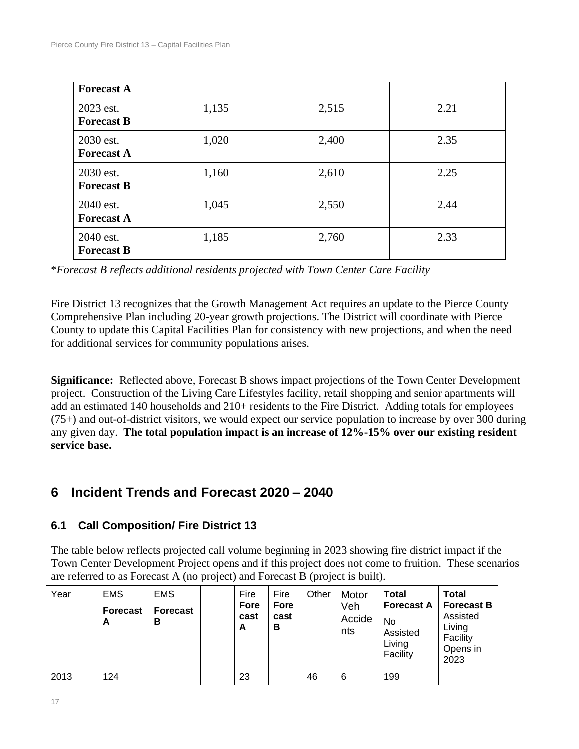| <b>Forecast A</b>              |       |       |      |
|--------------------------------|-------|-------|------|
| 2023 est.<br><b>Forecast B</b> | 1,135 | 2,515 | 2.21 |
| 2030 est.<br><b>Forecast A</b> | 1,020 | 2,400 | 2.35 |
| 2030 est.<br><b>Forecast B</b> | 1,160 | 2,610 | 2.25 |
| 2040 est.<br><b>Forecast A</b> | 1,045 | 2,550 | 2.44 |
| 2040 est.<br><b>Forecast B</b> | 1,185 | 2,760 | 2.33 |

\**Forecast B reflects additional residents projected with Town Center Care Facility*

Fire District 13 recognizes that the Growth Management Act requires an update to the Pierce County Comprehensive Plan including 20-year growth projections. The District will coordinate with Pierce County to update this Capital Facilities Plan for consistency with new projections, and when the need for additional services for community populations arises.

**Significance:** Reflected above, Forecast B shows impact projections of the Town Center Development project. Construction of the Living Care Lifestyles facility, retail shopping and senior apartments will add an estimated 140 households and 210+ residents to the Fire District. Adding totals for employees (75+) and out-of-district visitors, we would expect our service population to increase by over 300 during any given day. **The total population impact is an increase of 12%-15% over our existing resident service base.**

# **6 Incident Trends and Forecast 2020 – 2040**

# **6.1 Call Composition/ Fire District 13**

The table below reflects projected call volume beginning in 2023 showing fire district impact if the Town Center Development Project opens and if this project does not come to fruition. These scenarios are referred to as Forecast A (no project) and Forecast B (project is built).

| Year | <b>EMS</b><br><b>Forecast</b><br>A | <b>EMS</b><br><b>Forecast</b><br>в | Fire<br>Fore<br>cast<br>A | Fire<br><b>Fore</b><br>cast<br>В | Other | Motor<br>Veh<br>Accide<br>nts | <b>Total</b><br><b>Forecast A</b><br>No<br>Assisted<br>Living<br>Facility | <b>Total</b><br><b>Forecast B</b><br>Assisted<br>Living<br>Facility<br>Opens in<br>2023 |
|------|------------------------------------|------------------------------------|---------------------------|----------------------------------|-------|-------------------------------|---------------------------------------------------------------------------|-----------------------------------------------------------------------------------------|
| 2013 | 124                                |                                    | 23                        |                                  | 46    | 6                             | 199                                                                       |                                                                                         |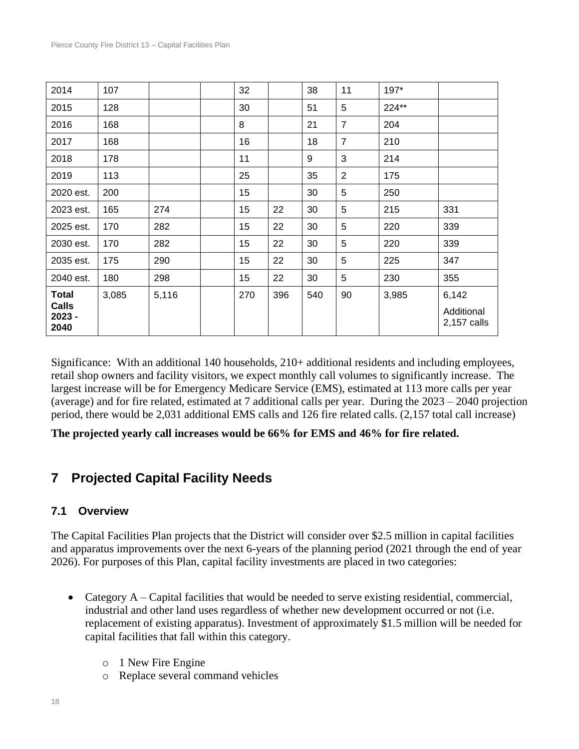| 2014                                             | 107   |       | 32  |     | 38  | 11             | 197*  |                                    |
|--------------------------------------------------|-------|-------|-----|-----|-----|----------------|-------|------------------------------------|
| 2015                                             | 128   |       | 30  |     | 51  | 5              | 224** |                                    |
| 2016                                             | 168   |       | 8   |     | 21  | $\overline{7}$ | 204   |                                    |
| 2017                                             | 168   |       | 16  |     | 18  | $\overline{7}$ | 210   |                                    |
| 2018                                             | 178   |       | 11  |     | 9   | 3              | 214   |                                    |
| 2019                                             | 113   |       | 25  |     | 35  | $\overline{2}$ | 175   |                                    |
| 2020 est.                                        | 200   |       | 15  |     | 30  | 5              | 250   |                                    |
| 2023 est.                                        | 165   | 274   | 15  | 22  | 30  | 5              | 215   | 331                                |
| 2025 est.                                        | 170   | 282   | 15  | 22  | 30  | 5              | 220   | 339                                |
| 2030 est.                                        | 170   | 282   | 15  | 22  | 30  | 5              | 220   | 339                                |
| 2035 est.                                        | 175   | 290   | 15  | 22  | 30  | 5              | 225   | 347                                |
| 2040 est.                                        | 180   | 298   | 15  | 22  | 30  | 5              | 230   | 355                                |
| <b>Total</b><br><b>Calls</b><br>$2023 -$<br>2040 | 3,085 | 5,116 | 270 | 396 | 540 | 90             | 3,985 | 6,142<br>Additional<br>2,157 calls |

Significance: With an additional 140 households, 210+ additional residents and including employees, retail shop owners and facility visitors, we expect monthly call volumes to significantly increase. The largest increase will be for Emergency Medicare Service (EMS), estimated at 113 more calls per year (average) and for fire related, estimated at 7 additional calls per year. During the 2023 – 2040 projection period, there would be 2,031 additional EMS calls and 126 fire related calls. (2,157 total call increase)

**The projected yearly call increases would be 66% for EMS and 46% for fire related.**

# **7 Projected Capital Facility Needs**

#### **7.1 Overview**

The Capital Facilities Plan projects that the District will consider over \$2.5 million in capital facilities and apparatus improvements over the next 6-years of the planning period (2021 through the end of year 2026). For purposes of this Plan, capital facility investments are placed in two categories:

- Category A Capital facilities that would be needed to serve existing residential, commercial, industrial and other land uses regardless of whether new development occurred or not (i.e. replacement of existing apparatus). Investment of approximately \$1.5 million will be needed for capital facilities that fall within this category.
	- o 1 New Fire Engine
	- o Replace several command vehicles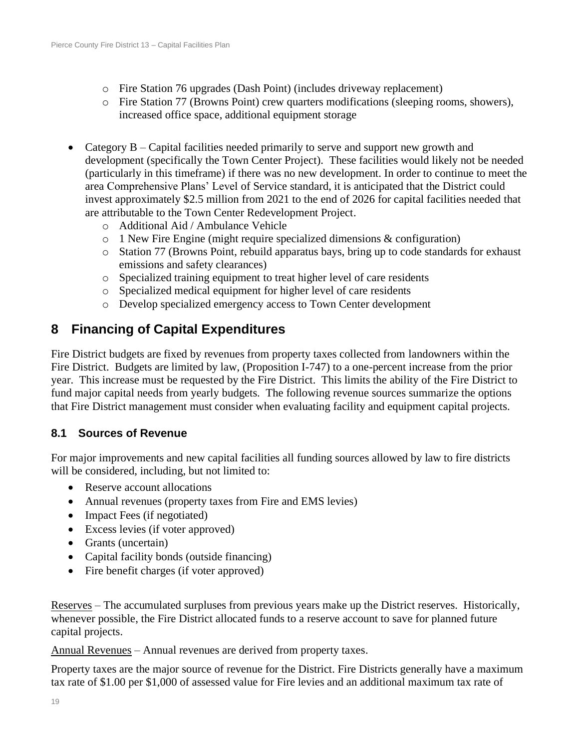- o Fire Station 76 upgrades (Dash Point) (includes driveway replacement)
- o Fire Station 77 (Browns Point) crew quarters modifications (sleeping rooms, showers), increased office space, additional equipment storage
- Category B Capital facilities needed primarily to serve and support new growth and development (specifically the Town Center Project). These facilities would likely not be needed (particularly in this timeframe) if there was no new development. In order to continue to meet the area Comprehensive Plans' Level of Service standard, it is anticipated that the District could invest approximately \$2.5 million from 2021 to the end of 2026 for capital facilities needed that are attributable to the Town Center Redevelopment Project.
	- o Additional Aid / Ambulance Vehicle
	- o 1 New Fire Engine (might require specialized dimensions & configuration)
	- o Station 77 (Browns Point, rebuild apparatus bays, bring up to code standards for exhaust emissions and safety clearances)
	- o Specialized training equipment to treat higher level of care residents
	- o Specialized medical equipment for higher level of care residents
	- o Develop specialized emergency access to Town Center development

# **8 Financing of Capital Expenditures**

Fire District budgets are fixed by revenues from property taxes collected from landowners within the Fire District. Budgets are limited by law, (Proposition I-747) to a one-percent increase from the prior year. This increase must be requested by the Fire District. This limits the ability of the Fire District to fund major capital needs from yearly budgets. The following revenue sources summarize the options that Fire District management must consider when evaluating facility and equipment capital projects.

#### **8.1 Sources of Revenue**

For major improvements and new capital facilities all funding sources allowed by law to fire districts will be considered, including, but not limited to:

- Reserve account allocations
- Annual revenues (property taxes from Fire and EMS levies)
- Impact Fees (if negotiated)
- Excess levies (if voter approved)
- Grants (uncertain)
- Capital facility bonds (outside financing)
- Fire benefit charges (if voter approved)

Reserves – The accumulated surpluses from previous years make up the District reserves. Historically, whenever possible, the Fire District allocated funds to a reserve account to save for planned future capital projects.

Annual Revenues – Annual revenues are derived from property taxes.

Property taxes are the major source of revenue for the District. Fire Districts generally have a maximum tax rate of \$1.00 per \$1,000 of assessed value for Fire levies and an additional maximum tax rate of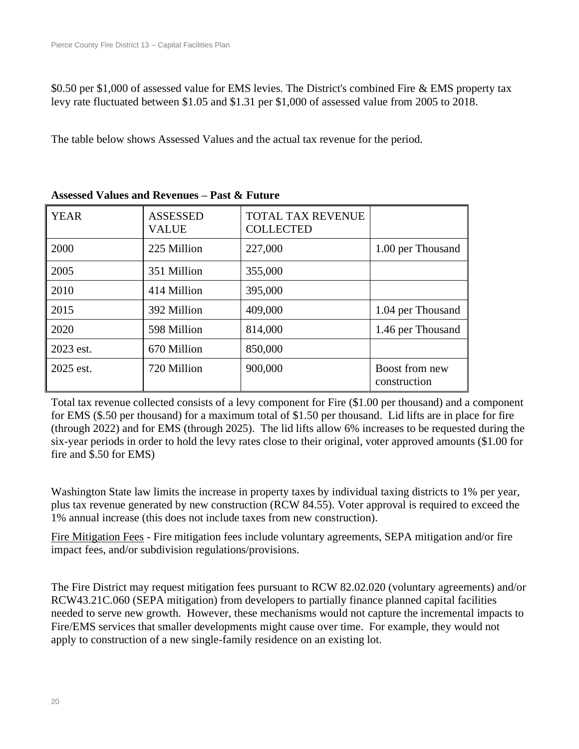\$0.50 per \$1,000 of assessed value for EMS levies. The District's combined Fire & EMS property tax levy rate fluctuated between \$1.05 and \$1.31 per \$1,000 of assessed value from 2005 to 2018.

The table below shows Assessed Values and the actual tax revenue for the period.

| <b>YEAR</b> | <b>ASSESSED</b><br><b>VALUE</b> | <b>TOTAL TAX REVENUE</b><br><b>COLLECTED</b> |                                |
|-------------|---------------------------------|----------------------------------------------|--------------------------------|
| 2000        | 225 Million                     | 227,000                                      | 1.00 per Thousand              |
| 2005        | 351 Million                     | 355,000                                      |                                |
| 2010        | 414 Million                     | 395,000                                      |                                |
| 2015        | 392 Million                     | 409,000                                      | 1.04 per Thousand              |
| 2020        | 598 Million                     | 814,000                                      | 1.46 per Thousand              |
| 2023 est.   | 670 Million                     | 850,000                                      |                                |
| 2025 est.   | 720 Million                     | 900,000                                      | Boost from new<br>construction |

#### **Assessed Values and Revenues – Past & Future**

Total tax revenue collected consists of a levy component for Fire (\$1.00 per thousand) and a component for EMS (\$.50 per thousand) for a maximum total of \$1.50 per thousand. Lid lifts are in place for fire (through 2022) and for EMS (through 2025). The lid lifts allow 6% increases to be requested during the six-year periods in order to hold the levy rates close to their original, voter approved amounts (\$1.00 for fire and \$.50 for EMS)

Washington State law limits the increase in property taxes by individual taxing districts to 1% per year, plus tax revenue generated by new construction (RCW 84.55). Voter approval is required to exceed the 1% annual increase (this does not include taxes from new construction).

Fire Mitigation Fees - Fire mitigation fees include voluntary agreements, SEPA mitigation and/or fire impact fees, and/or subdivision regulations/provisions.

The Fire District may request mitigation fees pursuant to RCW 82.02.020 (voluntary agreements) and/or RCW43.21C.060 (SEPA mitigation) from developers to partially finance planned capital facilities needed to serve new growth. However, these mechanisms would not capture the incremental impacts to Fire/EMS services that smaller developments might cause over time. For example, they would not apply to construction of a new single-family residence on an existing lot.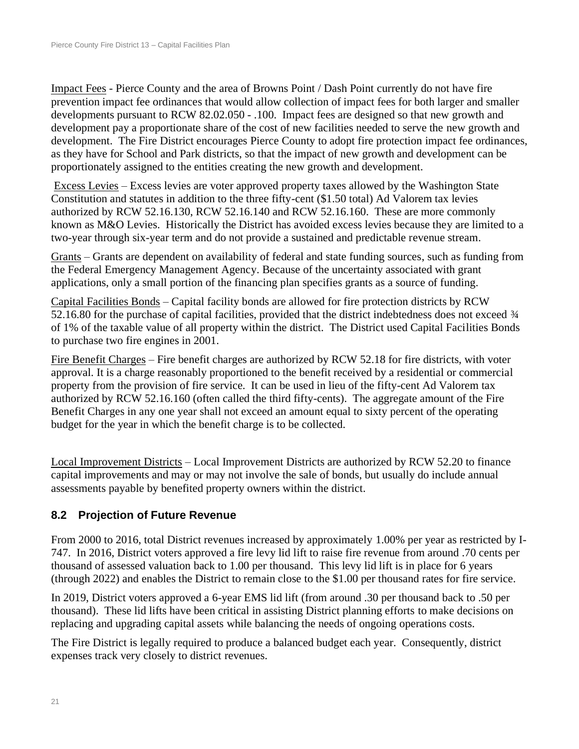Impact Fees - Pierce County and the area of Browns Point / Dash Point currently do not have fire prevention impact fee ordinances that would allow collection of impact fees for both larger and smaller developments pursuant to RCW 82.02.050 - .100. Impact fees are designed so that new growth and development pay a proportionate share of the cost of new facilities needed to serve the new growth and development. The Fire District encourages Pierce County to adopt fire protection impact fee ordinances, as they have for School and Park districts, so that the impact of new growth and development can be proportionately assigned to the entities creating the new growth and development.

Excess Levies – Excess levies are voter approved property taxes allowed by the Washington State Constitution and statutes in addition to the three fifty-cent (\$1.50 total) Ad Valorem tax levies authorized by RCW 52.16.130, RCW 52.16.140 and RCW 52.16.160. These are more commonly known as M&O Levies. Historically the District has avoided excess levies because they are limited to a two-year through six-year term and do not provide a sustained and predictable revenue stream.

Grants – Grants are dependent on availability of federal and state funding sources, such as funding from the Federal Emergency Management Agency. Because of the uncertainty associated with grant applications, only a small portion of the financing plan specifies grants as a source of funding.

Capital Facilities Bonds – Capital facility bonds are allowed for fire protection districts by RCW 52.16.80 for the purchase of capital facilities, provided that the district indebtedness does not exceed  $\frac{3}{4}$ of 1% of the taxable value of all property within the district. The District used Capital Facilities Bonds to purchase two fire engines in 2001.

Fire Benefit Charges – Fire benefit charges are authorized by RCW 52.18 for fire districts, with voter approval. It is a charge reasonably proportioned to the benefit received by a residential or commercial property from the provision of fire service. It can be used in lieu of the fifty-cent Ad Valorem tax authorized by RCW 52.16.160 (often called the third fifty-cents). The aggregate amount of the Fire Benefit Charges in any one year shall not exceed an amount equal to sixty percent of the operating budget for the year in which the benefit charge is to be collected.

Local Improvement Districts – Local Improvement Districts are authorized by RCW 52.20 to finance capital improvements and may or may not involve the sale of bonds, but usually do include annual assessments payable by benefited property owners within the district.

#### **8.2 Projection of Future Revenue**

From 2000 to 2016, total District revenues increased by approximately 1.00% per year as restricted by I-747. In 2016, District voters approved a fire levy lid lift to raise fire revenue from around .70 cents per thousand of assessed valuation back to 1.00 per thousand. This levy lid lift is in place for 6 years (through 2022) and enables the District to remain close to the \$1.00 per thousand rates for fire service.

In 2019, District voters approved a 6-year EMS lid lift (from around .30 per thousand back to .50 per thousand). These lid lifts have been critical in assisting District planning efforts to make decisions on replacing and upgrading capital assets while balancing the needs of ongoing operations costs.

The Fire District is legally required to produce a balanced budget each year. Consequently, district expenses track very closely to district revenues.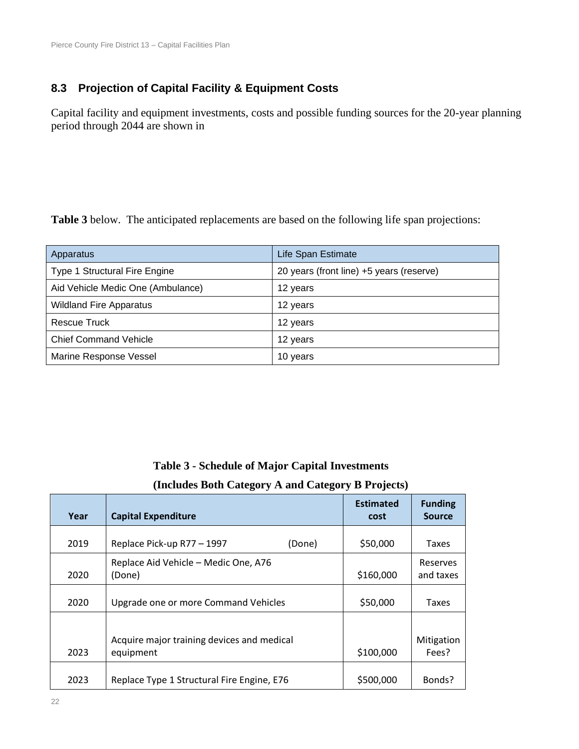#### **8.3 Projection of Capital Facility & Equipment Costs**

Capital facility and equipment investments, costs and possible funding sources for the 20-year planning period through 2044 are shown in

**[Table 3](#page-21-0)** below. The anticipated replacements are based on the following life span projections:

<span id="page-21-0"></span>

| Apparatus                         | Life Span Estimate                       |
|-----------------------------------|------------------------------------------|
| Type 1 Structural Fire Engine     | 20 years (front line) +5 years (reserve) |
| Aid Vehicle Medic One (Ambulance) | 12 years                                 |
| <b>Wildland Fire Apparatus</b>    | 12 years                                 |
| <b>Rescue Truck</b>               | 12 years                                 |
| <b>Chief Command Vehicle</b>      | 12 years                                 |
| Marine Response Vessel            | 10 years                                 |

#### **Table 3 - Schedule of Major Capital Investments**

#### **(Includes Both Category A and Category B Projects)**

| Year | <b>Capital Expenditure</b>                              | <b>Estimated</b><br>cost | <b>Funding</b><br><b>Source</b> |
|------|---------------------------------------------------------|--------------------------|---------------------------------|
| 2019 | Replace Pick-up R77 - 1997<br>(Done)                    | \$50,000                 | Taxes                           |
| 2020 | Replace Aid Vehicle - Medic One, A76<br>(Done)          | \$160,000                | Reserves<br>and taxes           |
| 2020 | Upgrade one or more Command Vehicles                    | \$50,000                 | Taxes                           |
| 2023 | Acquire major training devices and medical<br>equipment | \$100,000                | Mitigation<br>Fees?             |
| 2023 | Replace Type 1 Structural Fire Engine, E76              | \$500,000                | Bonds?                          |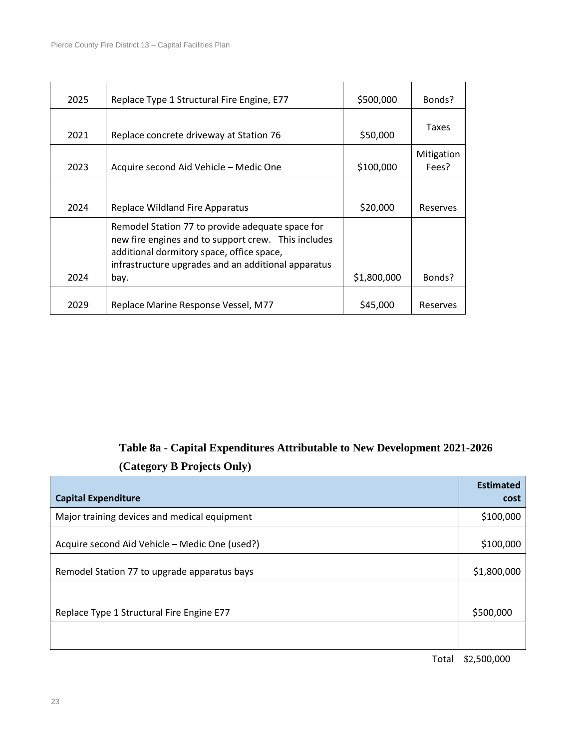| 2025 | Replace Type 1 Structural Fire Engine, E77                                                                                                                                                                          | \$500,000         | Bonds?              |  |
|------|---------------------------------------------------------------------------------------------------------------------------------------------------------------------------------------------------------------------|-------------------|---------------------|--|
| 2021 | Replace concrete driveway at Station 76                                                                                                                                                                             | Taxes<br>\$50,000 |                     |  |
| 2023 | Acquire second Aid Vehicle - Medic One                                                                                                                                                                              | \$100,000         | Mitigation<br>Fees? |  |
| 2024 | <b>Replace Wildland Fire Apparatus</b>                                                                                                                                                                              | \$20,000          | Reserves            |  |
| 2024 | Remodel Station 77 to provide adequate space for<br>new fire engines and to support crew. This includes<br>additional dormitory space, office space,<br>infrastructure upgrades and an additional apparatus<br>bay. | \$1,800,000       | Bonds?              |  |
|      |                                                                                                                                                                                                                     |                   |                     |  |
| 2029 | Replace Marine Response Vessel, M77                                                                                                                                                                                 | \$45,000          | Reserves            |  |

# **Table 8a - Capital Expenditures Attributable to New Development 2021-2026 (Category B Projects Only)**

| <b>Capital Expenditure</b>                     | <b>Estimated</b><br>cost |
|------------------------------------------------|--------------------------|
| Major training devices and medical equipment   | \$100,000                |
| Acquire second Aid Vehicle - Medic One (used?) | \$100,000                |
| Remodel Station 77 to upgrade apparatus bays   | \$1,800,000              |
|                                                |                          |
| Replace Type 1 Structural Fire Engine E77      | \$500,000                |
|                                                |                          |

Total \$2,500,000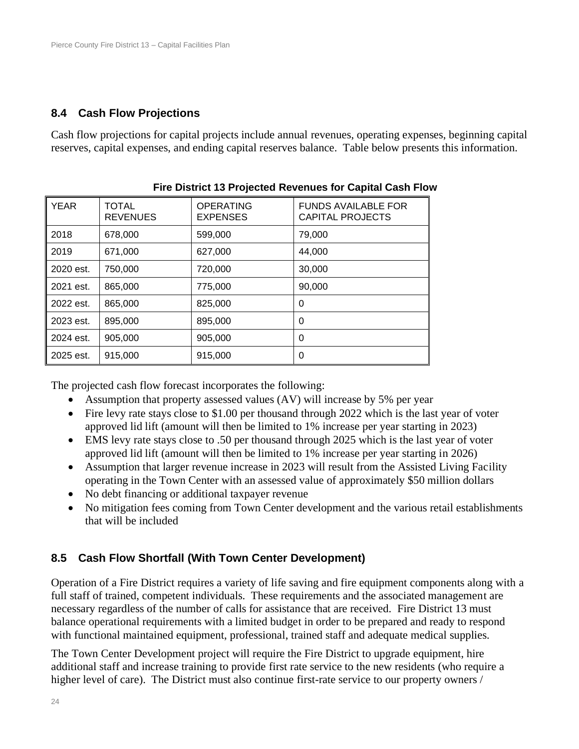## **8.4 Cash Flow Projections**

Cash flow projections for capital projects include annual revenues, operating expenses, beginning capital reserves, capital expenses, and ending capital reserves balance. Table below presents this information.

| <b>YEAR</b> | <b>TOTAL</b><br><b>REVENUES</b> | <b>OPERATING</b><br><b>EXPENSES</b> | <b>FUNDS AVAILABLE FOR</b><br>CAPITAL PROJECTS |
|-------------|---------------------------------|-------------------------------------|------------------------------------------------|
| 2018        | 678,000                         | 599,000                             | 79,000                                         |
| 2019        | 671.000                         | 627.000                             | 44,000                                         |
| 2020 est.   | 750,000                         | 720,000                             | 30,000                                         |
| 2021 est.   | 865,000                         | 775,000                             | 90,000                                         |
| 2022 est.   | 865,000                         | 825,000                             | 0                                              |
| 2023 est.   | 895,000                         | 895,000                             | 0                                              |
| 2024 est.   | 905.000                         | 905,000                             | 0                                              |
| 2025 est.   | 915,000                         | 915,000                             | 0                                              |

The projected cash flow forecast incorporates the following:

- Assumption that property assessed values (AV) will increase by 5% per year
- Fire levy rate stays close to \$1.00 per thousand through 2022 which is the last year of voter approved lid lift (amount will then be limited to 1% increase per year starting in 2023)
- EMS levy rate stays close to .50 per thousand through 2025 which is the last year of voter approved lid lift (amount will then be limited to 1% increase per year starting in 2026)
- Assumption that larger revenue increase in 2023 will result from the Assisted Living Facility operating in the Town Center with an assessed value of approximately \$50 million dollars
- No debt financing or additional taxpayer revenue
- No mitigation fees coming from Town Center development and the various retail establishments that will be included

# **8.5 Cash Flow Shortfall (With Town Center Development)**

Operation of a Fire District requires a variety of life saving and fire equipment components along with a full staff of trained, competent individuals. These requirements and the associated management are necessary regardless of the number of calls for assistance that are received. Fire District 13 must balance operational requirements with a limited budget in order to be prepared and ready to respond with functional maintained equipment, professional, trained staff and adequate medical supplies.

The Town Center Development project will require the Fire District to upgrade equipment, hire additional staff and increase training to provide first rate service to the new residents (who require a higher level of care). The District must also continue first-rate service to our property owners /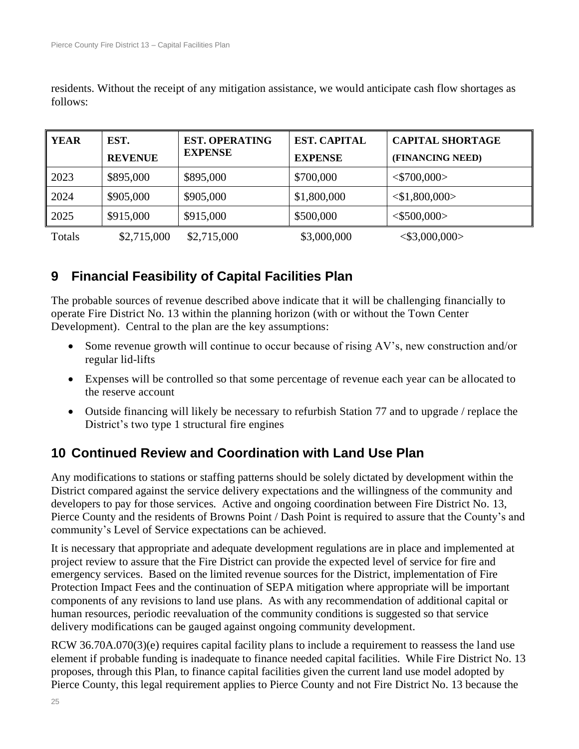residents. Without the receipt of any mitigation assistance, we would anticipate cash flow shortages as follows:

| <b>YEAR</b> | EST.<br><b>REVENUE</b> | <b>EST. OPERATING</b><br><b>EXPENSE</b> | <b>EST. CAPITAL</b><br><b>EXPENSE</b> | <b>CAPITAL SHORTAGE</b><br>(FINANCING NEED) |
|-------------|------------------------|-----------------------------------------|---------------------------------------|---------------------------------------------|
| 2023        | \$895,000              | \$895,000                               | \$700,000                             | $<$ \$700,000 $>$                           |
| 2024        | \$905,000              | \$905,000                               | \$1,800,000                           | $<$ \$1,800,000>                            |
| 2025        | \$915,000              | \$915,000                               | \$500,000                             | $<$ \$500,000>                              |
| Totals      | \$2,715,000            | \$2,715,000                             | \$3,000,000                           | $<$ \$3,000,000 $>$                         |

# **9 Financial Feasibility of Capital Facilities Plan**

The probable sources of revenue described above indicate that it will be challenging financially to operate Fire District No. 13 within the planning horizon (with or without the Town Center Development). Central to the plan are the key assumptions:

- Some revenue growth will continue to occur because of rising AV's, new construction and/or regular lid-lifts
- Expenses will be controlled so that some percentage of revenue each year can be allocated to the reserve account
- Outside financing will likely be necessary to refurbish Station 77 and to upgrade / replace the District's two type 1 structural fire engines

# **10 Continued Review and Coordination with Land Use Plan**

Any modifications to stations or staffing patterns should be solely dictated by development within the District compared against the service delivery expectations and the willingness of the community and developers to pay for those services. Active and ongoing coordination between Fire District No. 13, Pierce County and the residents of Browns Point / Dash Point is required to assure that the County's and community's Level of Service expectations can be achieved.

It is necessary that appropriate and adequate development regulations are in place and implemented at project review to assure that the Fire District can provide the expected level of service for fire and emergency services. Based on the limited revenue sources for the District, implementation of Fire Protection Impact Fees and the continuation of SEPA mitigation where appropriate will be important components of any revisions to land use plans. As with any recommendation of additional capital or human resources, periodic reevaluation of the community conditions is suggested so that service delivery modifications can be gauged against ongoing community development.

RCW 36.70A.070(3)(e) requires capital facility plans to include a requirement to reassess the land use element if probable funding is inadequate to finance needed capital facilities. While Fire District No. 13 proposes, through this Plan, to finance capital facilities given the current land use model adopted by Pierce County, this legal requirement applies to Pierce County and not Fire District No. 13 because the